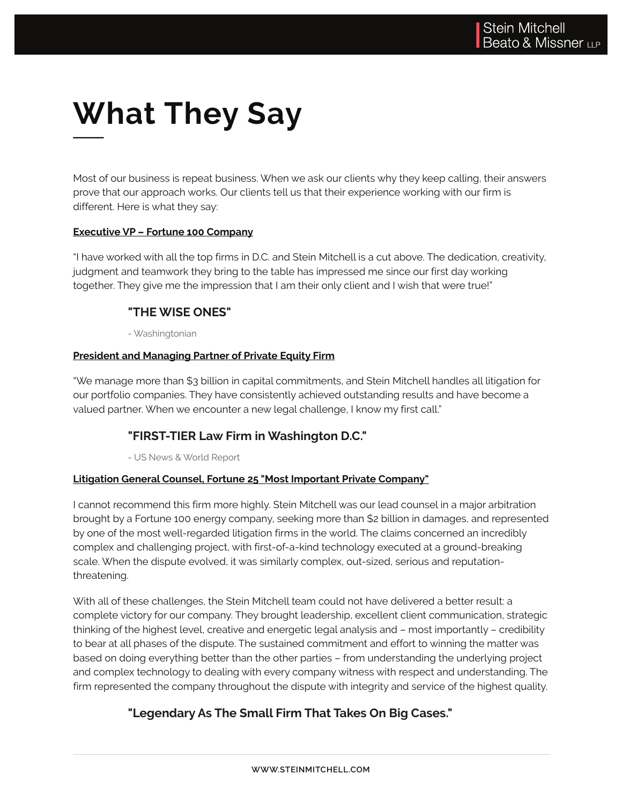# **What They Say**

Most of our business is repeat business. When we ask our clients why they keep calling, their answers prove that our approach works. Our clients tell us that their experience working with our firm is different. Here is what they say:

#### **Executive VP – Fortune 100 Company**

"I have worked with all the top firms in D.C. and Stein Mitchell is a cut above. The dedication, creativity, judgment and teamwork they bring to the table has impressed me since our first day working together. They give me the impression that I am their only client and I wish that were true!"

## **"THE WISE ONES"**

- Washingtonian

#### **President and Managing Partner of Private Equity Firm**

"We manage more than \$3 billion in capital commitments, and Stein Mitchell handles all litigation for our portfolio companies. They have consistently achieved outstanding results and have become a valued partner. When we encounter a new legal challenge, I know my first call."

## **"FIRST-TIER Law Firm in Washington D.C."**

- US News & World Report

#### **Litigation General Counsel, Fortune 25 "Most Important Private Company"**

I cannot recommend this firm more highly. Stein Mitchell was our lead counsel in a major arbitration brought by a Fortune 100 energy company, seeking more than \$2 billion in damages, and represented by one of the most well-regarded litigation firms in the world. The claims concerned an incredibly complex and challenging project, with first-of-a-kind technology executed at a ground-breaking scale. When the dispute evolved, it was similarly complex, out-sized, serious and reputationthreatening.

With all of these challenges, the Stein Mitchell team could not have delivered a better result: a complete victory for our company. They brought leadership, excellent client communication, strategic thinking of the highest level, creative and energetic legal analysis and – most importantly – credibility to bear at all phases of the dispute. The sustained commitment and effort to winning the matter was based on doing everything better than the other parties – from understanding the underlying project and complex technology to dealing with every company witness with respect and understanding. The firm represented the company throughout the dispute with integrity and service of the highest quality.

# **"Legendary As The Small Firm That Takes On Big Cases."**